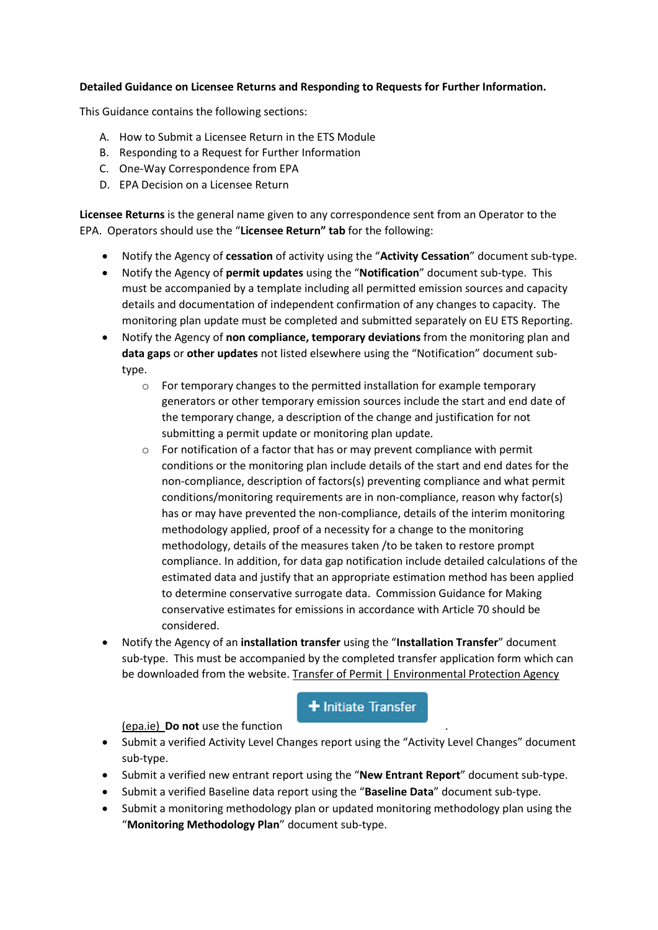## **Detailed Guidance on Licensee Returns and Responding to Requests for Further Information.**

This Guidance contains the following sections:

- A. How to Submit a Licensee Return in the ETS Module
- B. Responding to a Request for Further Information
- C. One-Way Correspondence from EPA
- D. EPA Decision on a Licensee Return

**Licensee Returns** is the general name given to any correspondence sent from an Operator to the EPA. Operators should use the "**Licensee Return" tab** for the following:

- Notify the Agency of **cessation** of activity using the "**Activity Cessation**" document sub-type.
- Notify the Agency of **permit updates** using the "**Notification**" document sub-type. This must be accompanied by a template including all permitted emission sources and capacity details and documentation of independent confirmation of any changes to capacity. The monitoring plan update must be completed and submitted separately on EU ETS Reporting.
- Notify the Agency of **non compliance, temporary deviations** from the monitoring plan and **data gaps** or **other updates** not listed elsewhere using the "Notification" document subtype.
	- o For temporary changes to the permitted installation for example temporary generators or other temporary emission sources include the start and end date of the temporary change, a description of the change and justification for not submitting a permit update or monitoring plan update.
	- o For notification of a factor that has or may prevent compliance with permit conditions or the monitoring plan include details of the start and end dates for the non-compliance, description of factors(s) preventing compliance and what permit conditions/monitoring requirements are in non-compliance, reason why factor(s) has or may have prevented the non-compliance, details of the interim monitoring methodology applied, proof of a necessity for a change to the monitoring methodology, details of the measures taken /to be taken to restore prompt compliance. In addition, for data gap notification include detailed calculations of the estimated data and justify that an appropriate estimation method has been applied to determine conservative surrogate data. Commission Guidance for Making conservative estimates for emissions in accordance with Article 70 should be considered.
- Notify the Agency of an **installation transfer** using the "**Installation Transfer**" document sub-type. This must be accompanied by the completed transfer application form which can be downloaded from the website. [Transfer of Permit | Environmental Protection Agency](https://www.epa.ie/our-services/licensing/climate-change/eu-emissions-trading-system-/emissions-trading-system---stationary-installations/transfer-of-permit-/)

# **+** Initiate Transfer

[\(epa.ie\)](https://www.epa.ie/our-services/licensing/climate-change/eu-emissions-trading-system-/emissions-trading-system---stationary-installations/transfer-of-permit-/) **Do not** use the function .

- Submit a verified Activity Level Changes report using the "Activity Level Changes" document sub-type.
- Submit a verified new entrant report using the "**New Entrant Report**" document sub-type.
- Submit a verified Baseline data report using the "**Baseline Data**" document sub-type.
- Submit a monitoring methodology plan or updated monitoring methodology plan using the "**Monitoring Methodology Plan**" document sub-type.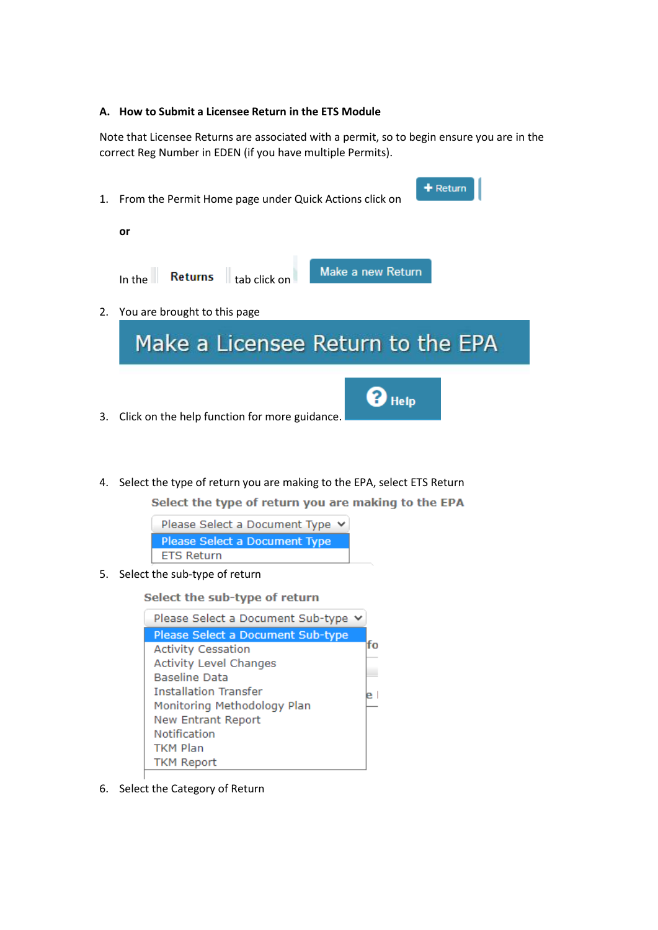### **A. How to Submit a Licensee Return in the ETS Module**

Note that Licensee Returns are associated with a permit, so to begin ensure you are in the correct Reg Number in EDEN (if you have multiple Permits).



4. Select the type of return you are making to the EPA, select ETS Return

Select the type of return you are making to the EPA

| Please Select a Document Type $\vee$ |  |
|--------------------------------------|--|
| Please Select a Document Type        |  |
| <b>ETS Return</b>                    |  |

5. Select the sub-type of return

Select the sub-type of return

| Please Select a Document Sub-type v |    |
|-------------------------------------|----|
| Please Select a Document Sub-type   |    |
| <b>Activity Cessation</b>           | fο |
| <b>Activity Level Changes</b>       |    |
| <b>Baseline Data</b>                |    |
| <b>Installation Transfer</b>        |    |
| Monitoring Methodology Plan         |    |
| <b>New Entrant Report</b>           |    |
| Notification                        |    |
| <b>TKM Plan</b>                     |    |
| <b>TKM Report</b>                   |    |

6. Select the Category of Return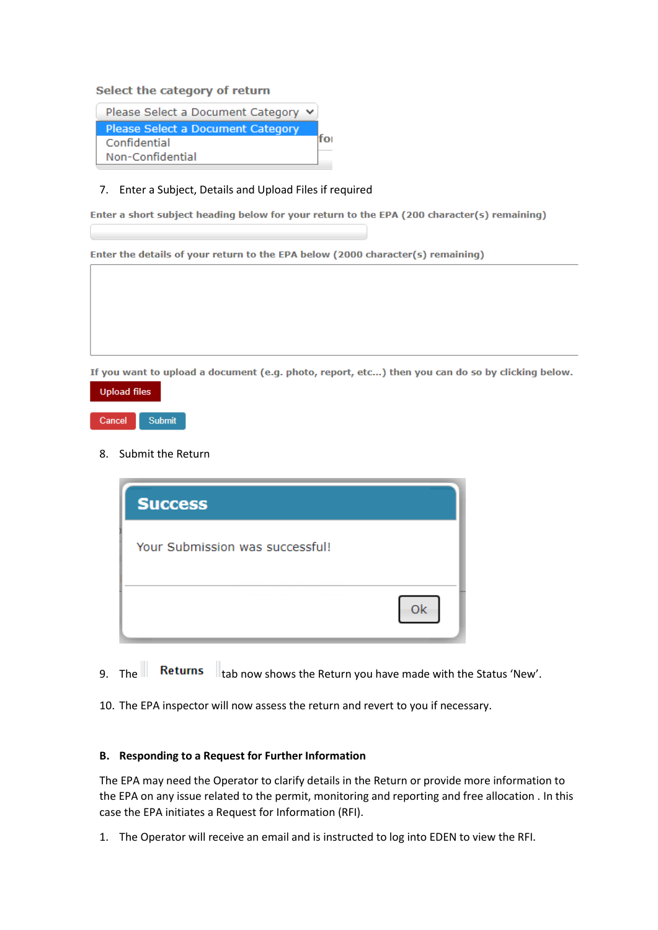### Select the category of return

| Please Select a Document Category ↓ |  |
|-------------------------------------|--|
| Please Select a Document Category   |  |
| Confidential                        |  |
| Non-Confidential                    |  |

#### 7. Enter a Subject, Details and Upload Files if required

Enter a short subject heading below for your return to the EPA (200 character(s) remaining)

Enter the details of your return to the EPA below (2000 character(s) remaining)

If you want to upload a document (e.g. photo, report, etc...) then you can do so by clicking below.



### 8. Submit the Return

| OK |
|----|
|    |

- 9. The Returns  $\|$ <sub>tab now shows the Return you have made with the Status 'New'.</sub>
- 10. The EPA inspector will now assess the return and revert to you if necessary.

### **B. Responding to a Request for Further Information**

The EPA may need the Operator to clarify details in the Return or provide more information to the EPA on any issue related to the permit, monitoring and reporting and free allocation . In this case the EPA initiates a Request for Information (RFI).

1. The Operator will receive an email and is instructed to log into EDEN to view the RFI.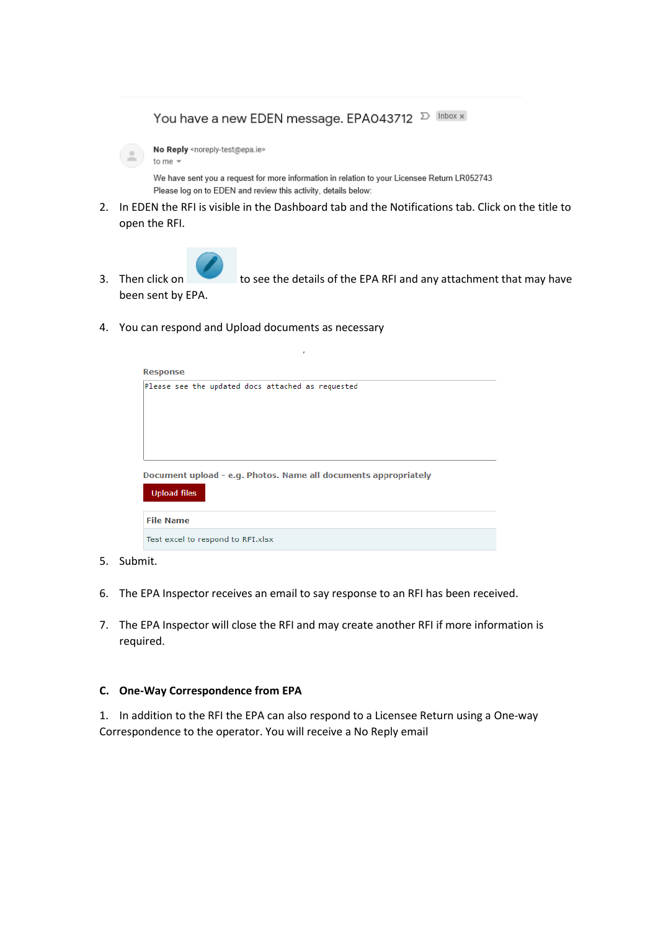You have a new EDEN message. EPA043712  $\sum$  Inbox x



We have sent you a request for more information in relation to your Licensee Return LR052743 Please log on to EDEN and review this activity, details below:

2. In EDEN the RFI is visible in the Dashboard tab and the Notifications tab. Click on the title to open the RFI.



3. Then click on to see the details of the EPA RFI and any attachment that may have been sent by EPA.

4. You can respond and Upload documents as necessary

| <b>Response</b>                                                                        |  |  |  |  |  |  |  |  |
|----------------------------------------------------------------------------------------|--|--|--|--|--|--|--|--|
| Please see the updated docs attached as requested                                      |  |  |  |  |  |  |  |  |
|                                                                                        |  |  |  |  |  |  |  |  |
| Document upload - e.g. Photos. Name all documents appropriately<br><b>Upload files</b> |  |  |  |  |  |  |  |  |
| <b>File Name</b>                                                                       |  |  |  |  |  |  |  |  |
| Test excel to respond to RFI.xlsx                                                      |  |  |  |  |  |  |  |  |

- 5. Submit.
- 6. The EPA Inspector receives an email to say response to an RFI has been received.
- 7. The EPA Inspector will close the RFI and may create another RFI if more information is required.

#### **C. One-Way Correspondence from EPA**

1. In addition to the RFI the EPA can also respond to a Licensee Return using a One-way Correspondence to the operator. You will receive a No Reply email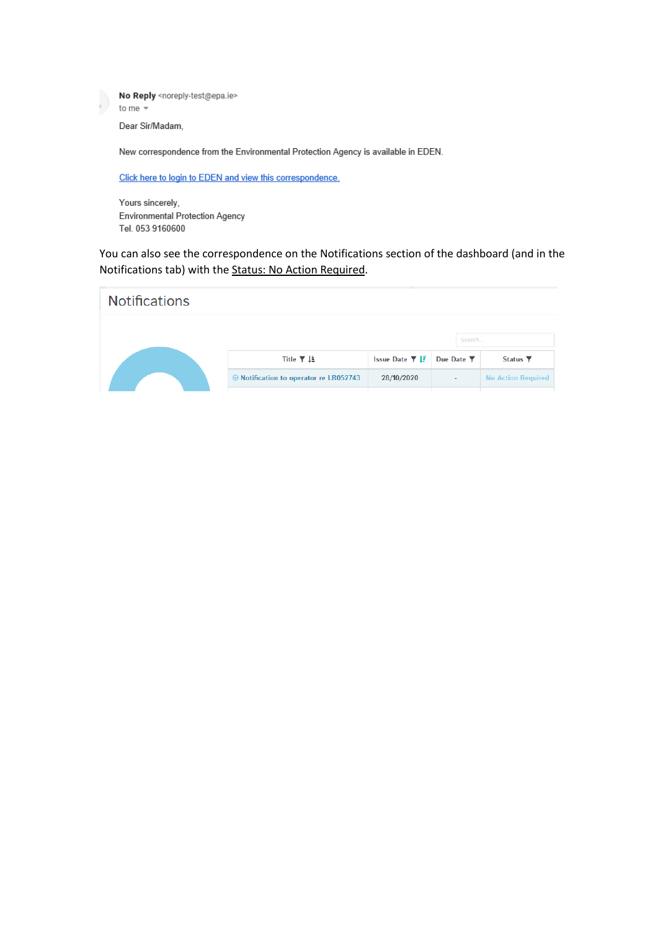No Reply <noreply-test@epa.ie> D to me  $\sqrt{*}$ Dear Sir/Madam, New correspondence from the Environmental Protection Agency is available in EDEN.

Click here to login to EDEN and view this correspondence.

Yours sincerely, Environmental Protection Agency Tel. 053 9160600

You can also see the correspondence on the Notifications section of the dashboard (and in the Notifications tab) with the Status: No Action Required.